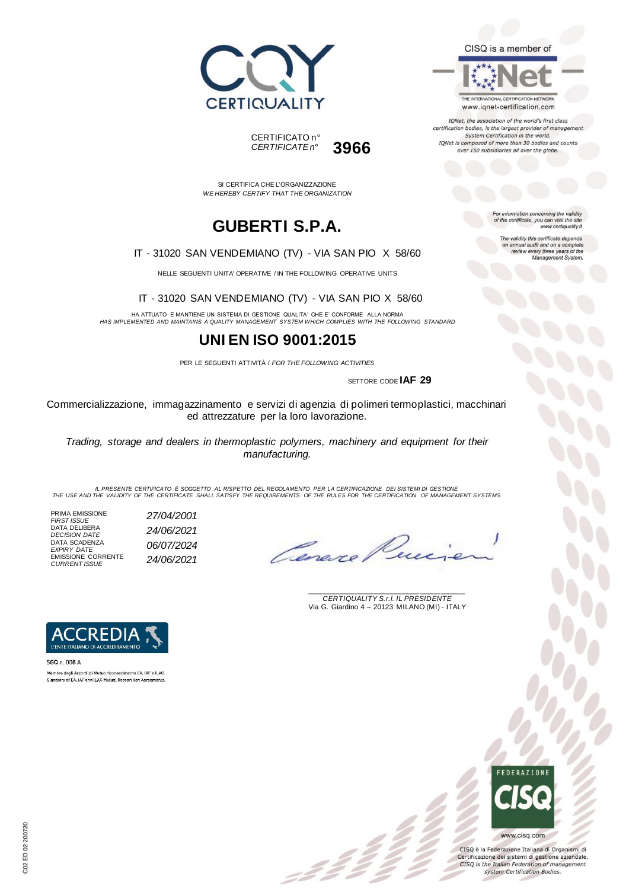



THE INTERNATIONAL CERTIFICATION NETWORK www.iqnet-certification.com

IQNet, the association of the world's first class certification bodies, is the largest provider of manageme System Certification in the world. IQNet is composed of more than 30 bodies and counts over 150 subsidiaries all over the globe.

For information concerning the validity<br>of the certificate, you can visit the site

The validity this certificate depends on annual audit and on a complete<br>review every three years of the<br>Management System.

www.certiquality.it

SI CERTIFICA CHE L'ORGANIZZAZIONE *WE HEREBY CERTIFY THAT THE ORGANIZATION*

CERTIFICATO n°

*CERTIFICATE n°* **3966**

# **GUBERTI S.P.A.**

#### IT - 31020 SAN VENDEMIANO (TV) - VIA SAN PIO X 58/60

NELLE SEGUENTI UNITA' OPERATIVE / IN THE FOLLOWING OPERATIVE UNITS

IT - 31020 SAN VENDEMIANO (TV) - VIA SAN PIO X 58/60

HA ATTUATO E MANTIENE UN SISTEMA DI GESTIONE QUALITA' CHE E' CONFORME ALLA NORMA *HAS IMPLEMENTED AND MAINTAINS A QUALITY MANAGEMENT SYSTEM WHICH COMPLIES WITH THE FOLLOWING STANDARD*

### **UNI EN ISO 9001:2015**

PER LE SEGUENTI ATTIVITÀ / *FOR THE FOLLOWING ACTIVITIES*

SETTORE CODE **IAF 29**

Commercializzazione, immagazzinamento e servizi di agenzia di polimeri termoplastici, macchinari ed attrezzature per la loro lavorazione.

*Trading, storage and dealers in thermoplastic polymers, machinery and equipment for their manufacturing.*

IL PRESENTE CERTIFICATO E SOGGETTO AL RISPETTO DEL REGOLAMENTO PER LA CERTIFICAZIONE DEI SISTEMI DI GESTIONE<br>THE USE AND THE VALIDITY OF THE CERTIFICATE SHALL SATISFY THE REQUIREMENTS OF THE RULES FOR THE CERTIFICATION OF

 $\mathcal{L}$ 

PRIMA EMISSIONE *FIRST ISSUE 27/04/2001* DATA DELIBERA *DECISION DATE 24/06/2021* DATA SCADENZA *EXPIRY DATE 06/07/2024* EMISSIONE CORRENTE *CURRENT ISSUE 24/06/2021*

Cereve

\_\_\_\_\_\_\_\_\_\_\_\_\_\_\_\_\_\_\_\_\_\_\_\_\_\_\_\_\_\_\_\_\_\_\_\_\_\_\_ *CERTIQUALITY S.r.l. IL PRESIDENTE* Via G. Giardino 4 – 20123 MILANO (MI) - ITALY



SGQ n. 008 A Membro degli Accordi di Mutuo riconoscimento EA, IAF e ILAC. Signatory of EA, IAF and ILAC Mutual Recognition Agreements



CISQ è la Federazione Italiana di Organismi di Certificazione dei sistemi di gestione aziendale. CISQ is the Italian Federation of management system Certification Bodies.